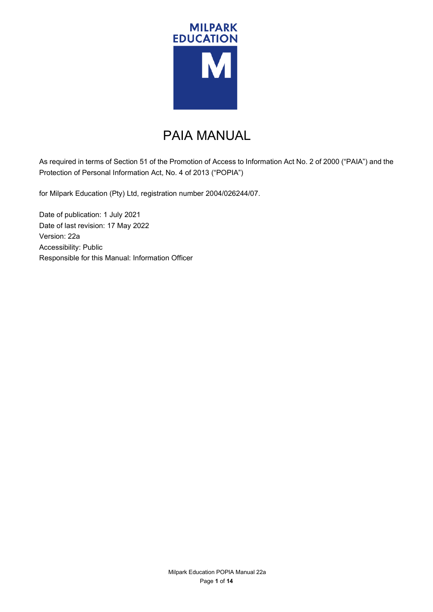

# PAIA MANUAL

As required in terms of Section 51 of the Promotion of Access to Information Act No. 2 of 2000 ("PAIA") and the Protection of Personal Information Act, No. 4 of 2013 ("POPIA")

for Milpark Education (Pty) Ltd, registration number 2004/026244/07.

Date of publication: 1 July 2021 Date of last revision: 17 May 2022 Version: 22a Accessibility: Public Responsible for this Manual: Information Officer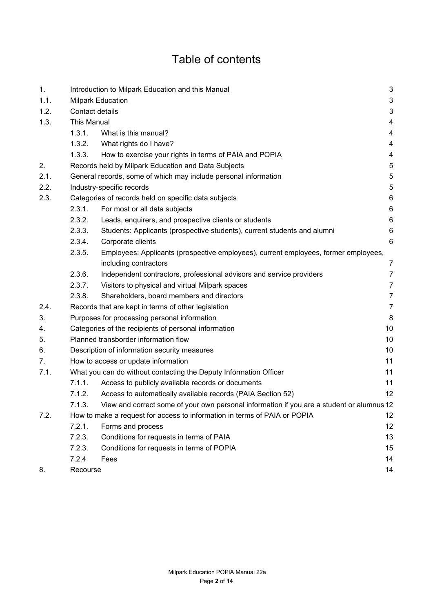# Table of contents

| 1.   |                                                      | $\sqrt{3}$<br>Introduction to Milpark Education and this Manual                           |                         |  |  |  |
|------|------------------------------------------------------|-------------------------------------------------------------------------------------------|-------------------------|--|--|--|
| 1.1. | <b>Milpark Education</b>                             |                                                                                           |                         |  |  |  |
| 1.2. |                                                      | Contact details                                                                           |                         |  |  |  |
| 1.3. | <b>This Manual</b>                                   |                                                                                           |                         |  |  |  |
|      | 1.3.1.                                               | What is this manual?                                                                      | $\overline{4}$          |  |  |  |
|      | 1.3.2.                                               | What rights do I have?                                                                    | 4                       |  |  |  |
|      | 1.3.3.                                               | How to exercise your rights in terms of PAIA and POPIA                                    | $\overline{\mathbf{4}}$ |  |  |  |
| 2.   |                                                      | Records held by Milpark Education and Data Subjects                                       | 5                       |  |  |  |
| 2.1. |                                                      | $\sqrt{5}$<br>General records, some of which may include personal information             |                         |  |  |  |
| 2.2. | $\sqrt{5}$<br>Industry-specific records              |                                                                                           |                         |  |  |  |
| 2.3. | Categories of records held on specific data subjects |                                                                                           |                         |  |  |  |
|      | 2.3.1.                                               | For most or all data subjects                                                             | $\,6$                   |  |  |  |
|      | 2.3.2.                                               | Leads, enquirers, and prospective clients or students                                     | $\,6$                   |  |  |  |
|      | 2.3.3.                                               | Students: Applicants (prospective students), current students and alumni                  | 6                       |  |  |  |
|      | 2.3.4.                                               | Corporate clients                                                                         | $6\phantom{1}6$         |  |  |  |
|      | 2.3.5.                                               | Employees: Applicants (prospective employees), current employees, former employees,       |                         |  |  |  |
|      |                                                      | including contractors                                                                     | $\overline{7}$          |  |  |  |
|      | 2.3.6.                                               | Independent contractors, professional advisors and service providers                      | $\overline{7}$          |  |  |  |
|      | 2.3.7.                                               | Visitors to physical and virtual Milpark spaces                                           | 7                       |  |  |  |
|      | 2.3.8.                                               | Shareholders, board members and directors                                                 | $\overline{7}$          |  |  |  |
| 2.4. |                                                      | Records that are kept in terms of other legislation                                       | $\overline{7}$          |  |  |  |
| 3.   |                                                      | Purposes for processing personal information                                              | 8                       |  |  |  |
| 4.   |                                                      | Categories of the recipients of personal information                                      | 10                      |  |  |  |
| 5.   |                                                      | Planned transborder information flow<br>10                                                |                         |  |  |  |
| 6.   |                                                      | Description of information security measures                                              | 10                      |  |  |  |
| 7.   |                                                      | How to access or update information                                                       | 11                      |  |  |  |
| 7.1. |                                                      | What you can do without contacting the Deputy Information Officer                         |                         |  |  |  |
|      | 7.1.1.                                               | Access to publicly available records or documents                                         | 11                      |  |  |  |
|      | 7.1.2.                                               | Access to automatically available records (PAIA Section 52)                               | 12                      |  |  |  |
|      | 7.1.3.                                               | View and correct some of your own personal information if you are a student or alumnus 12 |                         |  |  |  |
| 7.2. |                                                      | How to make a request for access to information in terms of PAIA or POPIA                 |                         |  |  |  |
|      | 7.2.1.                                               | Forms and process                                                                         | 12                      |  |  |  |
|      | 7.2.3.                                               | Conditions for requests in terms of PAIA                                                  | 13                      |  |  |  |
|      | 7.2.3.                                               | Conditions for requests in terms of POPIA                                                 | 15                      |  |  |  |
|      | 7.2.4                                                | Fees                                                                                      | 14                      |  |  |  |
| 8.   | Recourse                                             |                                                                                           | 14                      |  |  |  |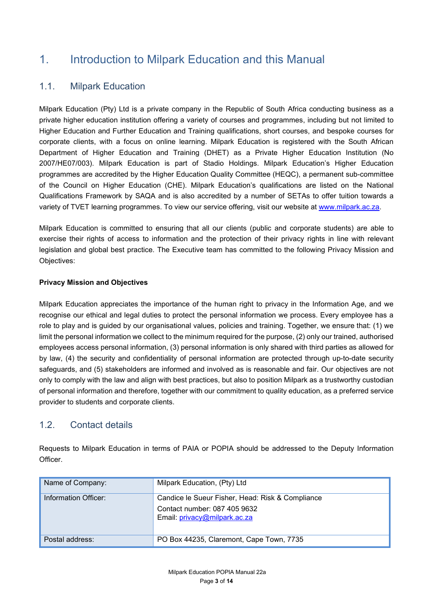# 1. Introduction to Milpark Education and this Manual

## 1.1. Milpark Education

Milpark Education (Pty) Ltd is a private company in the Republic of South Africa conducting business as a private higher education institution offering a variety of courses and programmes, including but not limited to Higher Education and Further Education and Training qualifications, short courses, and bespoke courses for corporate clients, with a focus on online learning. Milpark Education is registered with the South African Department of Higher Education and Training (DHET) as a Private Higher Education Institution (No 2007/HE07/003). Milpark Education is part of Stadio Holdings. Milpark Education's Higher Education programmes are accredited by the Higher Education Quality Committee (HEQC), a permanent sub-committee of the Council on Higher Education (CHE). Milpark Education's qualifications are listed on the National Qualifications Framework by SAQA and is also accredited by a number of SETAs to offer tuition towards a variety of TVET learning programmes. To view our service offering, visit our website at [www.milpark.ac.za.](http://www.milpark.ac.za/)

Milpark Education is committed to ensuring that all our clients (public and corporate students) are able to exercise their rights of access to information and the protection of their privacy rights in line with relevant legislation and global best practice. The Executive team has committed to the following Privacy Mission and Objectives:

### **Privacy Mission and Objectives**

Milpark Education appreciates the importance of the human right to privacy in the Information Age, and we recognise our ethical and legal duties to protect the personal information we process. Every employee has a role to play and is guided by our organisational values, policies and training. Together, we ensure that: (1) we limit the personal information we collect to the minimum required for the purpose, (2) only our trained, authorised employees access personal information, (3) personal information is only shared with third parties as allowed for by law, (4) the security and confidentiality of personal information are protected through up-to-date security safeguards, and (5) stakeholders are informed and involved as is reasonable and fair. Our objectives are not only to comply with the law and align with best practices, but also to position Milpark as a trustworthy custodian of personal information and therefore, together with our commitment to quality education, as a preferred service provider to students and corporate clients.

## 1.2. Contact details

Requests to Milpark Education in terms of PAIA or POPIA should be addressed to the Deputy Information Officer.

| Name of Company:     | Milpark Education, (Pty) Ltd                                                                                     |
|----------------------|------------------------------------------------------------------------------------------------------------------|
| Information Officer: | Candice le Sueur Fisher, Head: Risk & Compliance<br>Contact number: 087 405 9632<br>Email: privacy@milpark.ac.za |
| Postal address:      | PO Box 44235, Claremont, Cape Town, 7735                                                                         |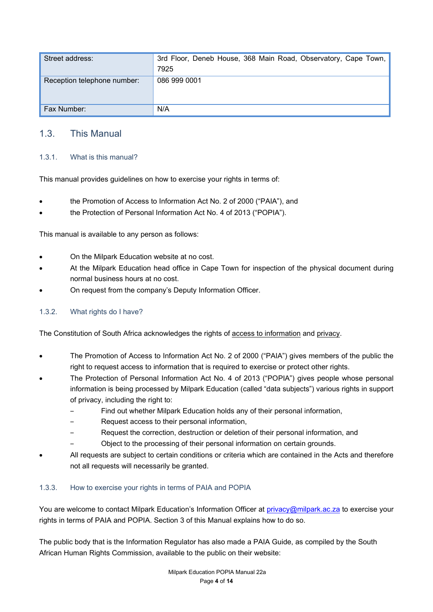| Street address:             | 3rd Floor, Deneb House, 368 Main Road, Observatory, Cape Town,<br>7925 |
|-----------------------------|------------------------------------------------------------------------|
| Reception telephone number: | 086 999 0001                                                           |
| Fax Number:                 | N/A                                                                    |

## 1.3. This Manual

## 1.3.1. What is this manual?

This manual provides guidelines on how to exercise your rights in terms of:

- the Promotion of Access to Information Act No. 2 of 2000 ("PAIA"), and
- the Protection of Personal Information Act No. 4 of 2013 ("POPIA").

This manual is available to any person as follows:

- On the Milpark Education website at no cost.
- At the Milpark Education head office in Cape Town for inspection of the physical document during normal business hours at no cost.
- On request from the company's Deputy Information Officer.

### 1.3.2. What rights do I have?

The Constitution of South Africa acknowledges the rights of access to information and privacy.

- The Promotion of Access to Information Act No. 2 of 2000 ("PAIA") gives members of the public the right to request access to information that is required to exercise or protect other rights.
- The Protection of Personal Information Act No. 4 of 2013 ("POPIA") gives people whose personal information is being processed by Milpark Education (called "data subjects") various rights in support of privacy, including the right to:
	- ‒ Find out whether Milpark Education holds any of their personal information,
	- ‒ Request access to their personal information,
	- ‒ Request the correction, destruction or deletion of their personal information, and
	- ‒ Object to the processing of their personal information on certain grounds.
- All requests are subject to certain conditions or criteria which are contained in the Acts and therefore not all requests will necessarily be granted.

### 1.3.3. How to exercise your rights in terms of PAIA and POPIA

You are welcome to contact Milpark Education's Information Officer at [privacy@milpark.ac.za](mailto:privacy@milpark.ac.za) to exercise your rights in terms of PAIA and POPIA. Section 3 of this Manual explains how to do so.

The public body that is the Information Regulator has also made a PAIA Guide, as compiled by the South African Human Rights Commission, available to the public on their website: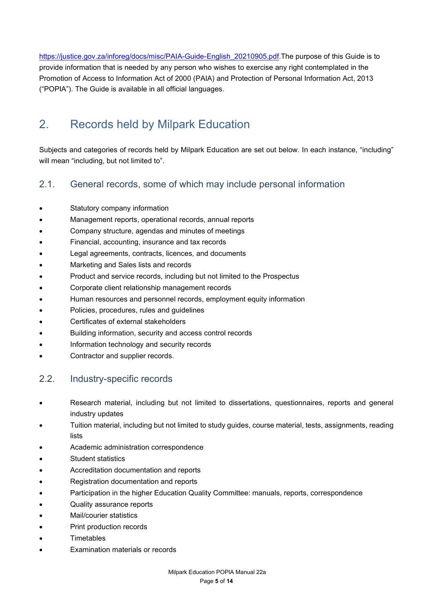[https://justice.gov.za/inforeg/docs/misc/PAIA-Guide-English\\_20210905.pdf.](https://justice.gov.za/inforeg/docs/misc/PAIA-Guide-English_20210905.pdf)The purpose of this Guide is to provide information that is needed by any person who wishes to exercise any right contemplated in the Promotion of Access to Information Act of 2000 (PAIA) and Protection of Personal Information Act, 2013 ("POPIA"). The Guide is available in all official languages.

# 2. Records held by Milpark Education

Subjects and categories of records held by Milpark Education are set out below. In each instance, "including" will mean "including, but not limited to".

## 2.1. General records, some of which may include personal information

- Statutory company information
- Management reports, operational records, annual reports
- Company structure, agendas and minutes of meetings
- Financial, accounting, insurance and tax records
- Legal agreements, contracts, licences, and documents
- Marketing and Sales lists and records
- Product and service records, including but not limited to the Prospectus
- Corporate client relationship management records
- Human resources and personnel records, employment equity information
- Policies, procedures, rules and guidelines
- Certificates of external stakeholders
- Building information, security and access control records
- Information technology and security records
- Contractor and supplier records.

## 2.2. Industry-specific records

- Research material, including but not limited to dissertations, questionnaires, reports and general industry updates
- Tuition material, including but not limited to study guides, course material, tests, assignments, reading lists
- Academic administration correspondence
- Student statistics
- Accreditation documentation and reports
- Registration documentation and reports
- Participation in the higher Education Quality Committee: manuals, reports, correspondence
- Quality assurance reports
- Mail/courier statistics
- Print production records
- **Timetables**
- Examination materials or records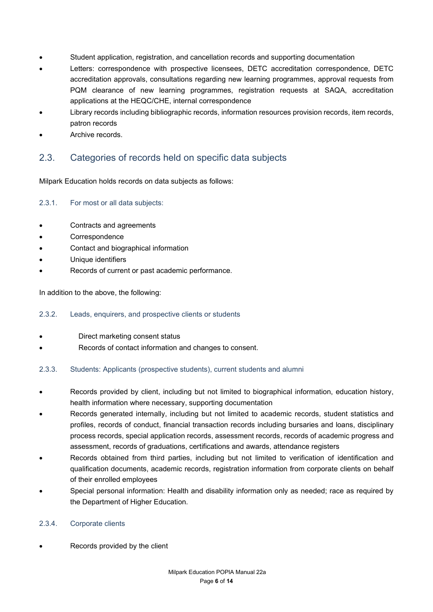- Student application, registration, and cancellation records and supporting documentation
- Letters: correspondence with prospective licensees, DETC accreditation correspondence, DETC accreditation approvals, consultations regarding new learning programmes, approval requests from PQM clearance of new learning programmes, registration requests at SAQA, accreditation applications at the HEQC/CHE, internal correspondence
- Library records including bibliographic records, information resources provision records, item records, patron records
- Archive records.

## 2.3. Categories of records held on specific data subjects

Milpark Education holds records on data subjects as follows:

### 2.3.1. For most or all data subjects:

- Contracts and agreements
- **Correspondence**
- Contact and biographical information
- Unique identifiers
- Records of current or past academic performance.

In addition to the above, the following:

### 2.3.2. Leads, enquirers, and prospective clients or students

- Direct marketing consent status
- Records of contact information and changes to consent.

### 2.3.3. Students: Applicants (prospective students), current students and alumni

- Records provided by client, including but not limited to biographical information, education history, health information where necessary, supporting documentation
- Records generated internally, including but not limited to academic records, student statistics and profiles, records of conduct, financial transaction records including bursaries and loans, disciplinary process records, special application records, assessment records, records of academic progress and assessment, records of graduations, certifications and awards, attendance registers
- Records obtained from third parties, including but not limited to verification of identification and qualification documents, academic records, registration information from corporate clients on behalf of their enrolled employees
- Special personal information: Health and disability information only as needed; race as required by the Department of Higher Education.

### 2.3.4. Corporate clients

Records provided by the client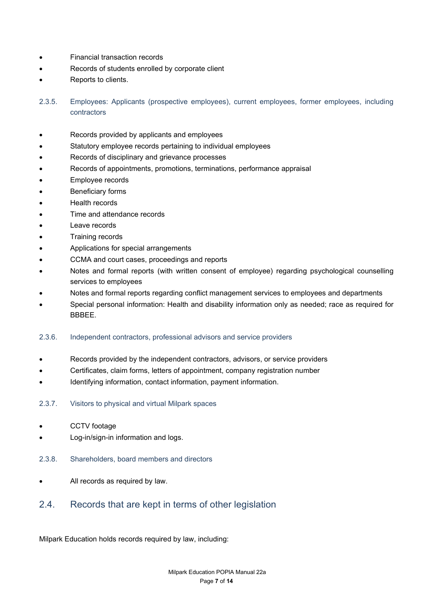- Financial transaction records
- Records of students enrolled by corporate client
- Reports to clients.

2.3.5. Employees: Applicants (prospective employees), current employees, former employees, including contractors

- Records provided by applicants and employees
- Statutory employee records pertaining to individual employees
- Records of disciplinary and grievance processes
- Records of appointments, promotions, terminations, performance appraisal
- Employee records
- **Beneficiary forms**
- Health records
- Time and attendance records
- Leave records
- Training records
- Applications for special arrangements
- CCMA and court cases, proceedings and reports
- Notes and formal reports (with written consent of employee) regarding psychological counselling services to employees
- Notes and formal reports regarding conflict management services to employees and departments
- Special personal information: Health and disability information only as needed; race as required for BBBEE.

#### 2.3.6. Independent contractors, professional advisors and service providers

- Records provided by the independent contractors, advisors, or service providers
- Certificates, claim forms, letters of appointment, company registration number
- Identifying information, contact information, payment information.
- 2.3.7. Visitors to physical and virtual Milpark spaces
- CCTV footage
- Log-in/sign-in information and logs.
- 2.3.8. Shareholders, board members and directors
- All records as required by law.

## 2.4. Records that are kept in terms of other legislation

Milpark Education holds records required by law, including: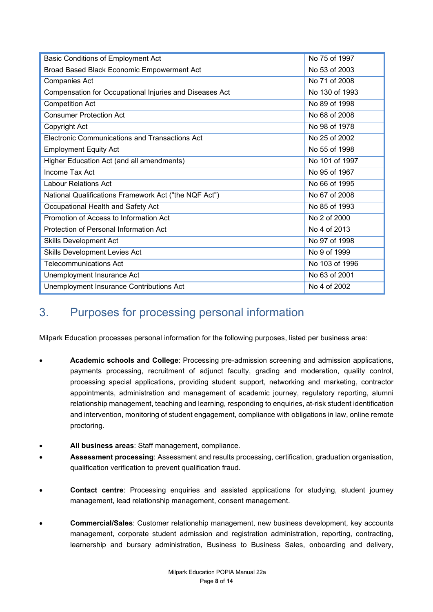| <b>Basic Conditions of Employment Act</b>               | No 75 of 1997  |
|---------------------------------------------------------|----------------|
| Broad Based Black Economic Empowerment Act              | No 53 of 2003  |
| <b>Companies Act</b>                                    | No 71 of 2008  |
| Compensation for Occupational Injuries and Diseases Act | No 130 of 1993 |
| <b>Competition Act</b>                                  | No 89 of 1998  |
| <b>Consumer Protection Act</b>                          | No 68 of 2008  |
| Copyright Act                                           | No 98 of 1978  |
| <b>Electronic Communications and Transactions Act</b>   | No 25 of 2002  |
| <b>Employment Equity Act</b>                            | No 55 of 1998  |
| Higher Education Act (and all amendments)               | No 101 of 1997 |
| Income Tax Act                                          | No 95 of 1967  |
| <b>Labour Relations Act</b>                             | No 66 of 1995  |
| National Qualifications Framework Act ("the NQF Act")   | No 67 of 2008  |
| Occupational Health and Safety Act                      | No 85 of 1993  |
| Promotion of Access to Information Act                  | No 2 of 2000   |
| Protection of Personal Information Act                  | No 4 of 2013   |
| <b>Skills Development Act</b>                           | No 97 of 1998  |
| <b>Skills Development Levies Act</b>                    | No 9 of 1999   |
| <b>Telecommunications Act</b>                           | No 103 of 1996 |
| Unemployment Insurance Act                              | No 63 of 2001  |
| Unemployment Insurance Contributions Act                | No 4 of 2002   |

# 3. Purposes for processing personal information

Milpark Education processes personal information for the following purposes, listed per business area:

- **Academic schools and College**: Processing pre-admission screening and admission applications, payments processing, recruitment of adjunct faculty, grading and moderation, quality control, processing special applications, providing student support, networking and marketing, contractor appointments, administration and management of academic journey, regulatory reporting, alumni relationship management, teaching and learning, responding to enquiries, at-risk student identification and intervention, monitoring of student engagement, compliance with obligations in law, online remote proctoring.
- **All business areas**: Staff management, compliance.
- **Assessment processing**: Assessment and results processing, certification, graduation organisation, qualification verification to prevent qualification fraud.
- **Contact centre**: Processing enquiries and assisted applications for studying, student journey management, lead relationship management, consent management.
- **Commercial/Sales**: Customer relationship management, new business development, key accounts management, corporate student admission and registration administration, reporting, contracting, learnership and bursary administration, Business to Business Sales, onboarding and delivery,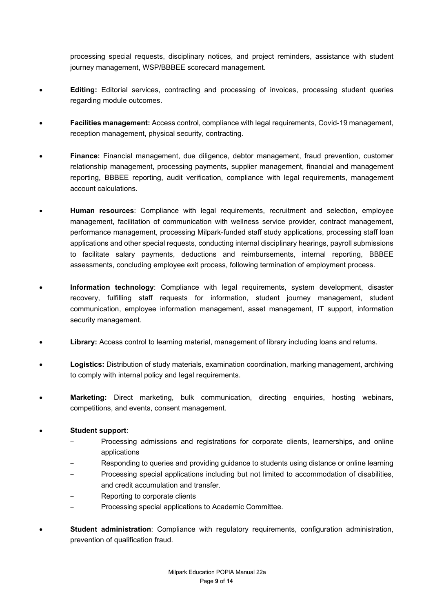processing special requests, disciplinary notices, and project reminders, assistance with student journey management, WSP/BBBEE scorecard management.

- **Editing:** Editorial services, contracting and processing of invoices, processing student queries regarding module outcomes.
- **Facilities management:** Access control, compliance with legal requirements, Covid-19 management, reception management, physical security, contracting.
- **Finance:** Financial management, due diligence, debtor management, fraud prevention, customer relationship management, processing payments, supplier management, financial and management reporting, BBBEE reporting, audit verification, compliance with legal requirements, management account calculations.
- **Human resources**: Compliance with legal requirements, recruitment and selection, employee management, facilitation of communication with wellness service provider, contract management, performance management, processing Milpark-funded staff study applications, processing staff loan applications and other special requests, conducting internal disciplinary hearings, payroll submissions to facilitate salary payments, deductions and reimbursements, internal reporting, BBBEE assessments, concluding employee exit process, following termination of employment process.
- **Information technology**: Compliance with legal requirements, system development, disaster recovery, fulfilling staff requests for information, student journey management, student communication, employee information management, asset management, IT support, information security management.
- **Library:** Access control to learning material, management of library including loans and returns.
- **Logistics:** Distribution of study materials, examination coordination, marking management, archiving to comply with internal policy and legal requirements.
- **Marketing:** Direct marketing, bulk communication, directing enquiries, hosting webinars, competitions, and events, consent management.

### • **Student support**:

- ‒ Processing admissions and registrations for corporate clients, learnerships, and online applications
- ‒ Responding to queries and providing guidance to students using distance or online learning
- ‒ Processing special applications including but not limited to accommodation of disabilities, and credit accumulation and transfer.
- ‒ Reporting to corporate clients
- ‒ Processing special applications to Academic Committee.
- **Student administration**: Compliance with regulatory requirements, configuration administration, prevention of qualification fraud.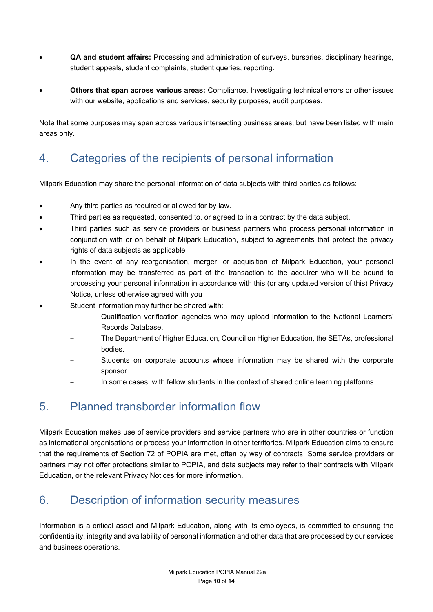- **QA and student affairs:** Processing and administration of surveys, bursaries, disciplinary hearings, student appeals, student complaints, student queries, reporting.
- **Others that span across various areas:** Compliance. Investigating technical errors or other issues with our website, applications and services, security purposes, audit purposes.

Note that some purposes may span across various intersecting business areas, but have been listed with main areas only.

# 4. Categories of the recipients of personal information

Milpark Education may share the personal information of data subjects with third parties as follows:

- Any third parties as required or allowed for by law.
- Third parties as requested, consented to, or agreed to in a contract by the data subject.
- Third parties such as service providers or business partners who process personal information in conjunction with or on behalf of Milpark Education, subject to agreements that protect the privacy rights of data subjects as applicable
- In the event of any reorganisation, merger, or acquisition of Milpark Education, your personal information may be transferred as part of the transaction to the acquirer who will be bound to processing your personal information in accordance with this (or any updated version of this) Privacy Notice, unless otherwise agreed with you
- Student information may further be shared with:
	- ‒ Qualification verification agencies who may upload information to the National Learners' Records Database.
	- ‒ The Department of Higher Education, Council on Higher Education, the SETAs, professional bodies.
	- ‒ Students on corporate accounts whose information may be shared with the corporate sponsor.
	- ‒ In some cases, with fellow students in the context of shared online learning platforms.

# 5. Planned transborder information flow

Milpark Education makes use of service providers and service partners who are in other countries or function as international organisations or process your information in other territories. Milpark Education aims to ensure that the requirements of Section 72 of POPIA are met, often by way of contracts. Some service providers or partners may not offer protections similar to POPIA, and data subjects may refer to their contracts with Milpark Education, or the relevant Privacy Notices for more information.

# 6. Description of information security measures

Information is a critical asset and Milpark Education, along with its employees, is committed to ensuring the confidentiality, integrity and availability of personal information and other data that are processed by our services and business operations.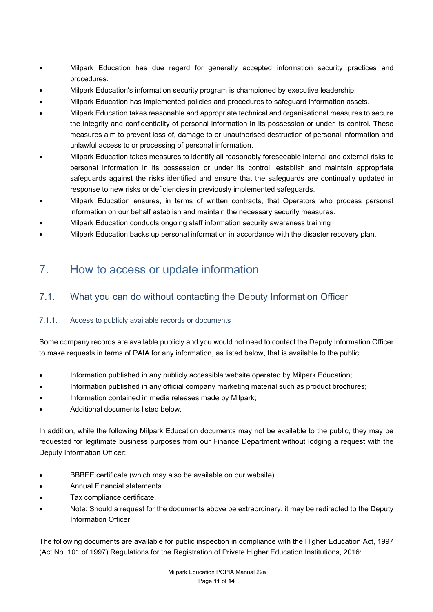- Milpark Education has due regard for generally accepted information security practices and procedures.
- Milpark Education's information security program is championed by executive leadership.
- Milpark Education has implemented policies and procedures to safeguard information assets.
- Milpark Education takes reasonable and appropriate technical and organisational measures to secure the integrity and confidentiality of personal information in its possession or under its control. These measures aim to prevent loss of, damage to or unauthorised destruction of personal information and unlawful access to or processing of personal information.
- Milpark Education takes measures to identify all reasonably foreseeable internal and external risks to personal information in its possession or under its control, establish and maintain appropriate safeguards against the risks identified and ensure that the safeguards are continually updated in response to new risks or deficiencies in previously implemented safeguards.
- Milpark Education ensures, in terms of written contracts, that Operators who process personal information on our behalf establish and maintain the necessary security measures.
- Milpark Education conducts ongoing staff information security awareness training
- Milpark Education backs up personal information in accordance with the disaster recovery plan.

## 7. How to access or update information

## 7.1. What you can do without contacting the Deputy Information Officer

### 7.1.1. Access to publicly available records or documents

Some company records are available publicly and you would not need to contact the Deputy Information Officer to make requests in terms of PAIA for any information, as listed below, that is available to the public:

- Information published in any publicly accessible website operated by Milpark Education;
- Information published in any official company marketing material such as product brochures;
- Information contained in media releases made by Milpark;
- Additional documents listed below.

In addition, while the following Milpark Education documents may not be available to the public, they may be requested for legitimate business purposes from our Finance Department without lodging a request with the Deputy Information Officer:

- BBBEE certificate (which may also be available on our website).
- Annual Financial statements.
- Tax compliance certificate.
- Note: Should a request for the documents above be extraordinary, it may be redirected to the Deputy Information Officer.

The following documents are available for public inspection in compliance with the Higher Education Act, 1997 (Act No. 101 of 1997) Regulations for the Registration of Private Higher Education Institutions, 2016: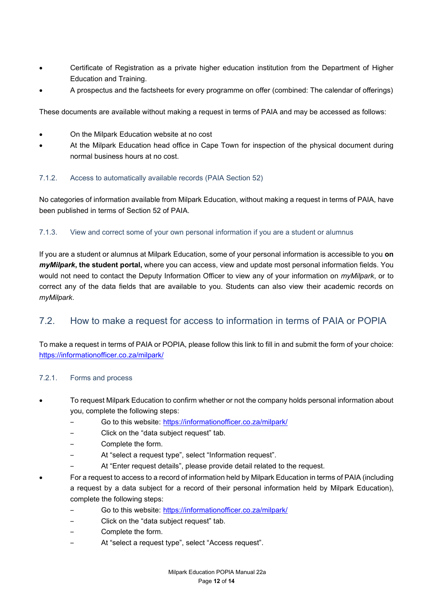- Certificate of Registration as a private higher education institution from the Department of Higher Education and Training.
- A prospectus and the factsheets for every programme on offer (combined: The calendar of offerings)

These documents are available without making a request in terms of PAIA and may be accessed as follows:

- On the Milpark Education website at no cost
- At the Milpark Education head office in Cape Town for inspection of the physical document during normal business hours at no cost.

### 7.1.2. Access to automatically available records (PAIA Section 52)

No categories of information available from Milpark Education, without making a request in terms of PAIA, have been published in terms of Section 52 of PAIA.

### 7.1.3. View and correct some of your own personal information if you are a student or alumnus

If you are a student or alumnus at Milpark Education, some of your personal information is accessible to you **on** *myMilpark***, the student portal,** where you can access, view and update most personal information fields. You would not need to contact the Deputy Information Officer to view any of your information on *myMilpark*, or to correct any of the data fields that are available to you. Students can also view their academic records on *myMilpark*.

## 7.2. How to make a request for access to information in terms of PAIA or POPIA

To make a request in terms of PAIA or POPIA, please follow this link to fill in and submit the form of your choice: <https://informationofficer.co.za/milpark/>

### 7.2.1. Forms and process

- To request Milpark Education to confirm whether or not the company holds personal information about you, complete the following steps:
	- ‒ Go to this website: <https://informationofficer.co.za/milpark/>
	- ‒ Click on the "data subject request" tab.
	- ‒ Complete the form.
	- At "select a request type", select "Information request".
	- At "Enter request details", please provide detail related to the request.
- For a request to access to a record of information held by Milpark Education in terms of PAIA (including a request by a data subject for a record of their personal information held by Milpark Education), complete the following steps:
	- ‒ Go to this website: <https://informationofficer.co.za/milpark/>
	- ‒ Click on the "data subject request" tab.
	- ‒ Complete the form.
	- At "select a request type", select "Access request".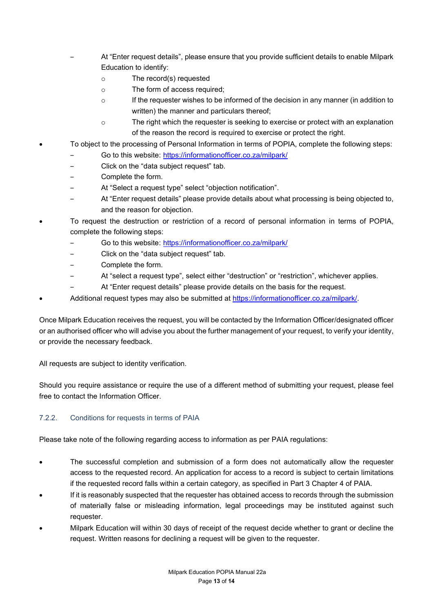- ‒ At "Enter request details", please ensure that you provide sufficient details to enable Milpark Education to identify:
	- o The record(s) requested
	- o The form of access required;
	- o If the requester wishes to be informed of the decision in any manner (in addition to written) the manner and particulars thereof;
	- o The right which the requester is seeking to exercise or protect with an explanation of the reason the record is required to exercise or protect the right.
- To object to the processing of Personal Information in terms of POPIA, complete the following steps:
	- ‒ Go to this website: <https://informationofficer.co.za/milpark/>
	- ‒ Click on the "data subject request" tab.
	- ‒ Complete the form.
	- At "Select a request type" select "objection notification".
	- ‒ At "Enter request details" please provide details about what processing is being objected to, and the reason for objection.
- To request the destruction or restriction of a record of personal information in terms of POPIA, complete the following steps:
	- ‒ Go to this website: <https://informationofficer.co.za/milpark/>
	- ‒ Click on the "data subject request" tab.
	- ‒ Complete the form.
	- ‒ At "select a request type", select either "destruction" or "restriction", whichever applies.
	- At "Enter request details" please provide details on the basis for the request.
- Additional request types may also be submitted at [https://informationofficer.co.za/milpark/.](https://informationofficer.co.za/milpark/)

Once Milpark Education receives the request, you will be contacted by the Information Officer/designated officer or an authorised officer who will advise you about the further management of your request, to verify your identity, or provide the necessary feedback.

All requests are subject to identity verification.

Should you require assistance or require the use of a different method of submitting your request, please feel free to contact the Information Officer.

### 7.2.2. Conditions for requests in terms of PAIA

Please take note of the following regarding access to information as per PAIA regulations:

- The successful completion and submission of a form does not automatically allow the requester access to the requested record. An application for access to a record is subject to certain limitations if the requested record falls within a certain category, as specified in Part 3 Chapter 4 of PAIA.
- If it is reasonably suspected that the requester has obtained access to records through the submission of materially false or misleading information, legal proceedings may be instituted against such requester.
- Milpark Education will within 30 days of receipt of the request decide whether to grant or decline the request. Written reasons for declining a request will be given to the requester.